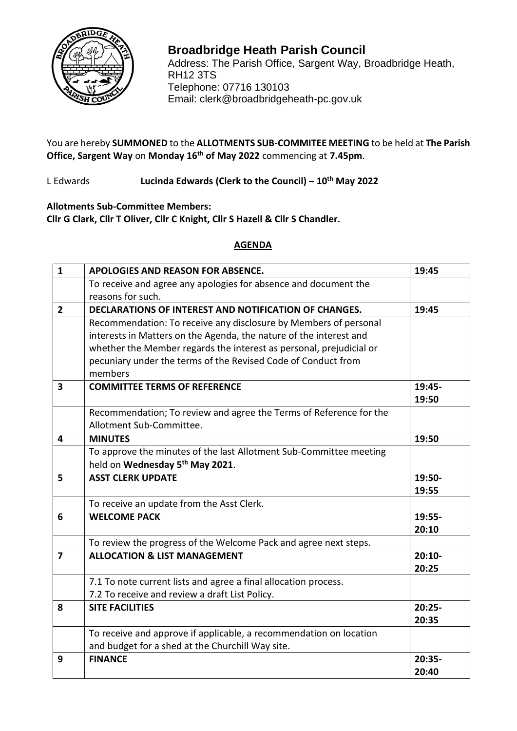

## RH12 3TS **Broadbridge Heath Parish Council** Address: The Parish Office, Sargent Way, Broadbridge Heath, Telephone: 07716 130103 Email: clerk@broadbridgeheath-pc.gov.uk

You are hereby **SUMMONED** to the **ALLOTMENTS SUB-COMMITEE MEETING** to be held at **The Parish Office, Sargent Way** on **Monday 16th of May 2022** commencing at **7.45pm**.

L Edwards **Lucinda Edwards (Clerk to the Council) – 10th May 2022**

**Allotments Sub-Committee Members: Cllr G Clark, Cllr T Oliver, Cllr C Knight, Cllr S Hazell & Cllr S Chandler.**

## **AGENDA**

| $\mathbf{1}$            | APOLOGIES AND REASON FOR ABSENCE.                                   | 19:45    |
|-------------------------|---------------------------------------------------------------------|----------|
|                         | To receive and agree any apologies for absence and document the     |          |
|                         | reasons for such.                                                   |          |
| $\mathbf{2}$            | DECLARATIONS OF INTEREST AND NOTIFICATION OF CHANGES.               | 19:45    |
|                         | Recommendation: To receive any disclosure by Members of personal    |          |
|                         | interests in Matters on the Agenda, the nature of the interest and  |          |
|                         | whether the Member regards the interest as personal, prejudicial or |          |
|                         | pecuniary under the terms of the Revised Code of Conduct from       |          |
|                         | members                                                             |          |
| 3                       | <b>COMMITTEE TERMS OF REFERENCE</b>                                 | 19:45-   |
|                         |                                                                     | 19:50    |
|                         | Recommendation; To review and agree the Terms of Reference for the  |          |
|                         | Allotment Sub-Committee.                                            |          |
| 4                       | <b>MINUTES</b>                                                      | 19:50    |
|                         | To approve the minutes of the last Allotment Sub-Committee meeting  |          |
|                         | held on Wednesday 5th May 2021.                                     |          |
| 5                       | <b>ASST CLERK UPDATE</b>                                            | 19:50-   |
|                         |                                                                     | 19:55    |
|                         | To receive an update from the Asst Clerk.                           |          |
| 6                       | <b>WELCOME PACK</b>                                                 | 19:55-   |
|                         |                                                                     | 20:10    |
|                         | To review the progress of the Welcome Pack and agree next steps.    |          |
| $\overline{\mathbf{z}}$ | <b>ALLOCATION &amp; LIST MANAGEMENT</b>                             | $20:10-$ |
|                         |                                                                     | 20:25    |
|                         | 7.1 To note current lists and agree a final allocation process.     |          |
|                         | 7.2 To receive and review a draft List Policy.                      |          |
| 8                       | <b>SITE FACILITIES</b>                                              | $20:25-$ |
|                         |                                                                     | 20:35    |
|                         | To receive and approve if applicable, a recommendation on location  |          |
|                         | and budget for a shed at the Churchill Way site.                    |          |
| 9                       | <b>FINANCE</b>                                                      | 20:35-   |
|                         |                                                                     | 20:40    |